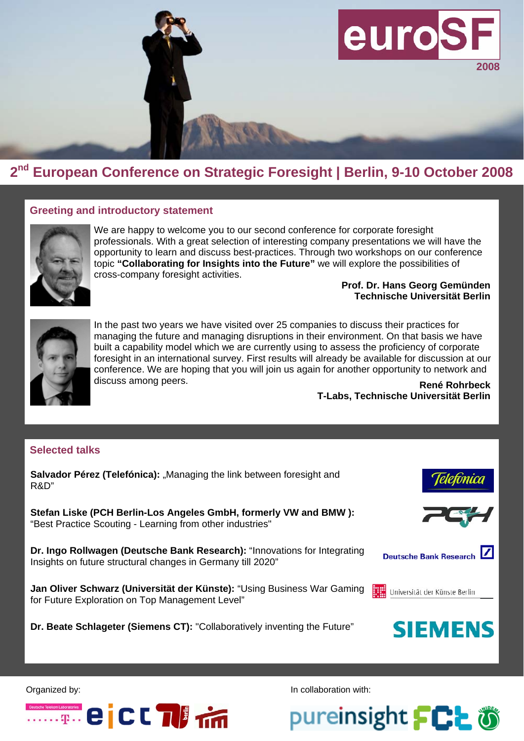

## **2nd European Conference on Strategic Foresight | Berlin, 9-10 October 2008**

### **Greeting and introductory statement**



We are happy to welcome you to our second conference for corporate foresight professionals. With a great selection of interesting company presentations we will have the opportunity to learn and discuss best-practices. Through two workshops on our conference topic **"Collaborating for Insights into the Future"** we will explore the possibilities of cross-company foresight activities.

#### **Prof. Dr. Hans Georg Gemünden Technische Universität Berlin**



In the past two years we have visited over 25 companies to discuss their practices for managing the future and managing disruptions in their environment. On that basis we have built a capability model which we are currently using to assess the proficiency of corporate foresight in an international survey. First results will already be available for discussion at our conference. We are hoping that you will join us again for another opportunity to network and discuss among peers.

**René Rohrbeck T-Labs, Technische Universität Berlin** 

### **Selected talks**

**Salvador Pérez (Telefónica):** "Managing the link between foresight and R&D" **Stefan Liske (PCH Berlin-Los Angeles GmbH, formerly VW and BMW ):**  "Best Practice Scouting - Learning from other industries" **Dr. Ingo Rollwagen (Deutsche Bank Research):** "Innovations for Integrating **Deutsche Bank Research** Insights on future structural changes in Germany till 2020" **Jan Oliver Schwarz (Universität der Künste):** "Using Business War Gaming Universität der Künste Berlin for Future Exploration on Top Management Level" **SIEMENS Dr. Beate Schlageter (Siemens CT):** "Collaboratively inventing the Future"

Organized by:



In collaboration with:

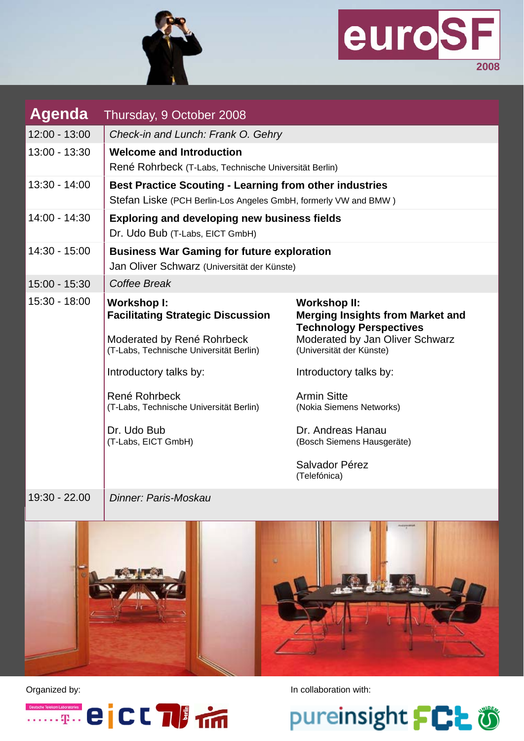



| Agenda          | Thursday, 9 October 2008                                                                                                                |                                                                                                                                                                 |
|-----------------|-----------------------------------------------------------------------------------------------------------------------------------------|-----------------------------------------------------------------------------------------------------------------------------------------------------------------|
| $12:00 - 13:00$ | Check-in and Lunch: Frank O. Gehry                                                                                                      |                                                                                                                                                                 |
| $13:00 - 13:30$ | <b>Welcome and Introduction</b><br>René Rohrbeck (T-Labs, Technische Universität Berlin)                                                |                                                                                                                                                                 |
| $13:30 - 14:00$ | <b>Best Practice Scouting - Learning from other industries</b><br>Stefan Liske (PCH Berlin-Los Angeles GmbH, formerly VW and BMW)       |                                                                                                                                                                 |
| 14:00 - 14:30   | <b>Exploring and developing new business fields</b><br>Dr. Udo Bub (T-Labs, EICT GmbH)                                                  |                                                                                                                                                                 |
| $14:30 - 15:00$ | <b>Business War Gaming for future exploration</b><br>Jan Oliver Schwarz (Universität der Künste)                                        |                                                                                                                                                                 |
| 15:00 - 15:30   | Coffee Break                                                                                                                            |                                                                                                                                                                 |
| 15:30 - 18:00   | <b>Workshop I:</b><br><b>Facilitating Strategic Discussion</b><br>Moderated by René Rohrbeck<br>(T-Labs, Technische Universität Berlin) | <b>Workshop II:</b><br><b>Merging Insights from Market and</b><br><b>Technology Perspectives</b><br>Moderated by Jan Oliver Schwarz<br>(Universität der Künste) |
|                 | Introductory talks by:                                                                                                                  | Introductory talks by:                                                                                                                                          |
|                 | René Rohrbeck<br>(T-Labs, Technische Universität Berlin)                                                                                | <b>Armin Sitte</b><br>(Nokia Siemens Networks)                                                                                                                  |
|                 | Dr. Udo Bub<br>(T-Labs, EICT GmbH)                                                                                                      | Dr. Andreas Hanau<br>(Bosch Siemens Hausgeräte)                                                                                                                 |
|                 |                                                                                                                                         | Salvador Pérez<br>(Telefónica)                                                                                                                                  |
| 19:30 - 22.00   | Dinner: Paris-Moskau                                                                                                                    |                                                                                                                                                                 |



Organized by: **In collaboration with:** In collaboration with:



pureinsight FCL あ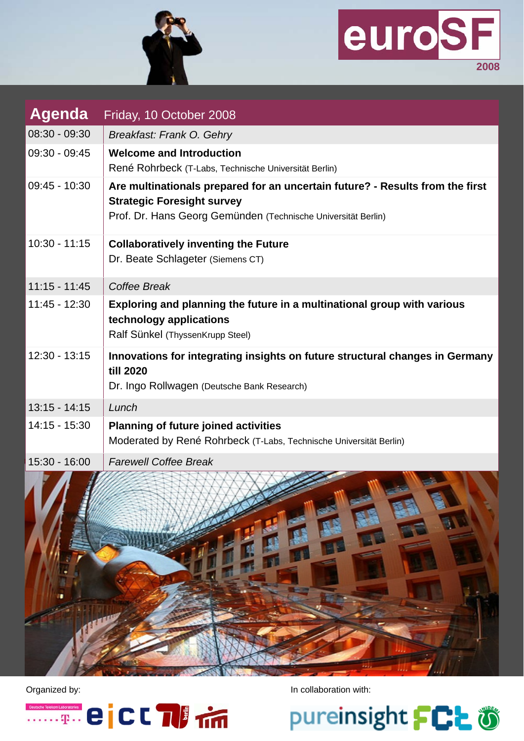



| <b>Agenda</b>   | Friday, 10 October 2008                                                                                                                                                             |
|-----------------|-------------------------------------------------------------------------------------------------------------------------------------------------------------------------------------|
| 08:30 - 09:30   | Breakfast: Frank O. Gehry                                                                                                                                                           |
| $09:30 - 09:45$ | <b>Welcome and Introduction</b><br>René Rohrbeck (T-Labs, Technische Universität Berlin)                                                                                            |
| $09:45 - 10:30$ | Are multinationals prepared for an uncertain future? - Results from the first<br><b>Strategic Foresight survey</b><br>Prof. Dr. Hans Georg Gemünden (Technische Universität Berlin) |
| $10:30 - 11:15$ | <b>Collaboratively inventing the Future</b><br>Dr. Beate Schlageter (Siemens CT)                                                                                                    |
| $11:15 - 11:45$ | Coffee Break                                                                                                                                                                        |
| $11:45 - 12:30$ | Exploring and planning the future in a multinational group with various<br>technology applications<br>Ralf Sünkel (ThyssenKrupp Steel)                                              |
| $12:30 - 13:15$ | Innovations for integrating insights on future structural changes in Germany<br>till 2020<br>Dr. Ingo Rollwagen (Deutsche Bank Research)                                            |
| $13:15 - 14:15$ | Lunch                                                                                                                                                                               |
| 14:15 - 15:30   | <b>Planning of future joined activities</b><br>Moderated by René Rohrbeck (T-Labs, Technische Universität Berlin)                                                                   |
| $15:30 - 16:00$ | <b>Farewell Coffee Break</b>                                                                                                                                                        |





Organized by: **In collaboration with:** In collaboration with:

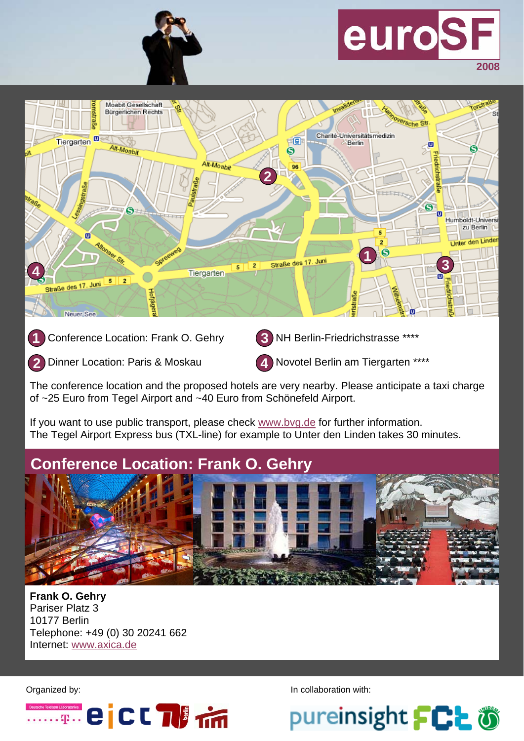

# euroS **2008**



Conference Location: Frank O. Gehry **1** 

**NH Berlin-Friedrichstrasse \*\*\*\* 3** 

Dinner Location: Paris & Moskau **2** 

**Novotel Berlin am Tiergarten \*\*\*\* 4** 

The conference location and the proposed hotels are very nearby. Please anticipate a taxi charge of ~25 Euro from Tegel Airport and ~40 Euro from Schönefeld Airport.

If you want to use public transport, please check [www.bvg.de](http://www.bvg.de) for further information. The Tegel Airport Express bus (TXL-line) for example to Unter den Linden takes 30 minutes.

## **Conference Location: Frank O. Gehry**



**Frank O. Gehry**  Pariser Platz 3 10177 Berlin Telephone: +49 (0) 30 20241 662 Internet: [www.axica.de](http://www.axica.de)



Organized by: **In collaboration with:** In collaboration with: